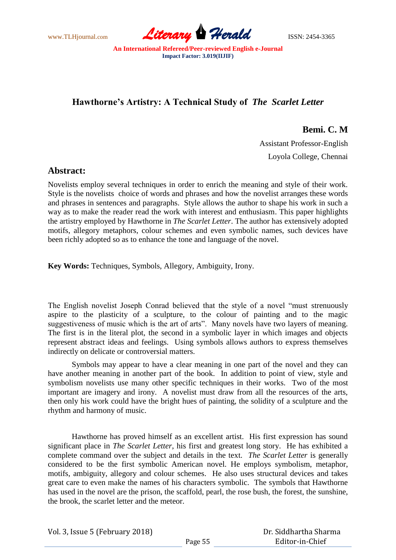www.TLHjournal.com **Literary Herald** ISSN: 2454-3365

## **Hawthorne's Artistry: A Technical Study of** *The Scarlet Letter*

**Bemi. C. M**

 Assistant Professor-English Loyola College, Chennai

## **Abstract:**

Novelists employ several techniques in order to enrich the meaning and style of their work. Style is the novelists choice of words and phrases and how the novelist arranges these words and phrases in sentences and paragraphs. Style allows the author to shape his work in such a way as to make the reader read the work with interest and enthusiasm. This paper highlights the artistry employed by Hawthorne in *The Scarlet Letter*. The author has extensively adopted motifs, allegory metaphors, colour schemes and even symbolic names, such devices have been richly adopted so as to enhance the tone and language of the novel.

**Key Words:** Techniques, Symbols, Allegory, Ambiguity, Irony.

The English novelist Joseph Conrad believed that the style of a novel "must strenuously aspire to the plasticity of a sculpture, to the colour of painting and to the magic suggestiveness of music which is the art of arts". Many novels have two layers of meaning. The first is in the literal plot, the second in a symbolic layer in which images and objects represent abstract ideas and feelings. Using symbols allows authors to express themselves indirectly on delicate or controversial matters.

Symbols may appear to have a clear meaning in one part of the novel and they can have another meaning in another part of the book. In addition to point of view, style and symbolism novelists use many other specific techniques in their works. Two of the most important are imagery and irony. A novelist must draw from all the resources of the arts, then only his work could have the bright hues of painting, the solidity of a sculpture and the rhythm and harmony of music.

Hawthorne has proved himself as an excellent artist. His first expression has sound significant place in *The Scarlet Letter*, his first and greatest long story. He has exhibited a complete command over the subject and details in the text. *The Scarlet Letter* is generally considered to be the first symbolic American novel. He employs symbolism, metaphor, motifs, ambiguity, allegory and colour schemes. He also uses structural devices and takes great care to even make the names of his characters symbolic. The symbols that Hawthorne has used in the novel are the prison, the scaffold, pearl, the rose bush, the forest, the sunshine, the brook, the scarlet letter and the meteor.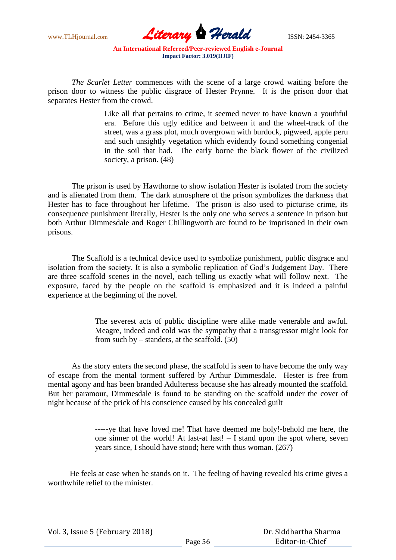

*The Scarlet Letter* commences with the scene of a large crowd waiting before the prison door to witness the public disgrace of Hester Prynne. It is the prison door that separates Hester from the crowd.

> Like all that pertains to crime, it seemed never to have known a youthful era. Before this ugly edifice and between it and the wheel-track of the street, was a grass plot, much overgrown with burdock, pigweed, apple peru and such unsightly vegetation which evidently found something congenial in the soil that had. The early borne the black flower of the civilized society, a prison. (48)

The prison is used by Hawthorne to show isolation Hester is isolated from the society and is alienated from them. The dark atmosphere of the prison symbolizes the darkness that Hester has to face throughout her lifetime. The prison is also used to picturise crime, its consequence punishment literally, Hester is the only one who serves a sentence in prison but both Arthur Dimmesdale and Roger Chillingworth are found to be imprisoned in their own prisons.

The Scaffold is a technical device used to symbolize punishment, public disgrace and isolation from the society. It is also a symbolic replication of God"s Judgement Day. There are three scaffold scenes in the novel, each telling us exactly what will follow next. The exposure, faced by the people on the scaffold is emphasized and it is indeed a painful experience at the beginning of the novel.

> The severest acts of public discipline were alike made venerable and awful. Meagre, indeed and cold was the sympathy that a transgressor might look for from such by  $-$  standers, at the scaffold. (50)

As the story enters the second phase, the scaffold is seen to have become the only way of escape from the mental torment suffered by Arthur Dimmesdale. Hester is free from mental agony and has been branded Adulteress because she has already mounted the scaffold. But her paramour, Dimmesdale is found to be standing on the scaffold under the cover of night because of the prick of his conscience caused by his concealed guilt

> -----ye that have loved me! That have deemed me holy!-behold me here, the one sinner of the world! At last-at last! – I stand upon the spot where, seven years since, I should have stood; here with thus woman. (267)

 He feels at ease when he stands on it. The feeling of having revealed his crime gives a worthwhile relief to the minister.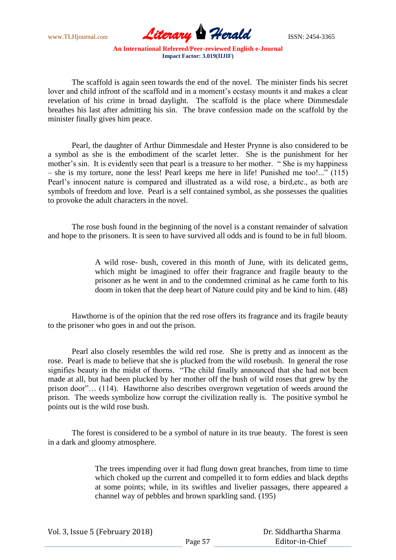

The scaffold is again seen towards the end of the novel. The minister finds his secret lover and child infront of the scaffold and in a moment's ecstasy mounts it and makes a clear revelation of his crime in broad daylight. The scaffold is the place where Dimmesdale breathes his last after admitting his sin. The brave confession made on the scaffold by the minister finally gives him peace.

Pearl, the daughter of Arthur Dimmesdale and Hester Prynne is also considered to be a symbol as she is the embodiment of the scarlet letter. She is the punishment for her mother's sin. It is evidently seen that pearl is a treasure to her mother. "She is my happiness – she is my torture, none the less! Pearl keeps me here in life! Punished me too!..." (115) Pearl"s innocent nature is compared and illustrated as a wild rose, a bird,etc., as both are symbols of freedom and love. Pearl is a self contained symbol, as she possesses the qualities to provoke the adult characters in the novel.

The rose bush found in the beginning of the novel is a constant remainder of salvation and hope to the prisoners. It is seen to have survived all odds and is found to be in full bloom.

> A wild rose- bush, covered in this month of June, with its delicated gems, which might be imagined to offer their fragrance and fragile beauty to the prisoner as he went in and to the condemned criminal as he came forth to his doom in token that the deep heart of Nature could pity and be kind to him. (48)

Hawthorne is of the opinion that the red rose offers its fragrance and its fragile beauty to the prisoner who goes in and out the prison.

Pearl also closely resembles the wild red rose. She is pretty and as innocent as the rose. Pearl is made to believe that she is plucked from the wild rosebush. In general the rose signifies beauty in the midst of thorns. "The child finally announced that she had not been made at all, but had been plucked by her mother off the bush of wild roses that grew by the prison door"… (114). Hawthorne also describes overgrown vegetation of weeds around the prison. The weeds symbolize how corrupt the civilization really is. The positive symbol he points out is the wild rose bush.

The forest is considered to be a symbol of nature in its true beauty. The forest is seen in a dark and gloomy atmosphere.

> The trees impending over it had flung down great branches, from time to time which choked up the current and compelled it to form eddies and black depths at some points; while, in its swiftles and livelier passages, there appeared a channel way of pebbles and brown sparkling sand. (195)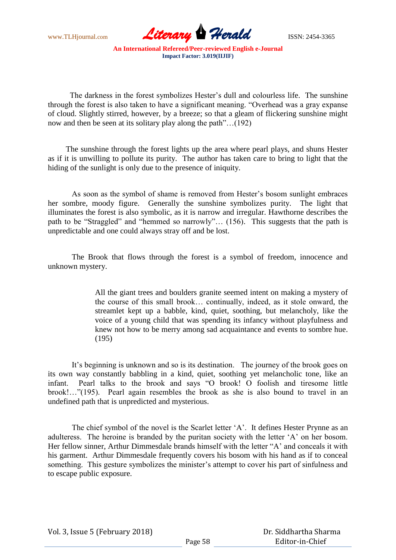

The darkness in the forest symbolizes Hester's dull and colourless life. The sunshine through the forest is also taken to have a significant meaning. "Overhead was a gray expanse of cloud. Slightly stirred, however, by a breeze; so that a gleam of flickering sunshine might now and then be seen at its solitary play along the path"…(192)

 The sunshine through the forest lights up the area where pearl plays, and shuns Hester as if it is unwilling to pollute its purity. The author has taken care to bring to light that the hiding of the sunlight is only due to the presence of iniquity.

As soon as the symbol of shame is removed from Hester's bosom sunlight embraces her sombre, moody figure. Generally the sunshine symbolizes purity. The light that illuminates the forest is also symbolic, as it is narrow and irregular. Hawthorne describes the path to be "Straggled" and "hemmed so narrowly"… (156). This suggests that the path is unpredictable and one could always stray off and be lost.

The Brook that flows through the forest is a symbol of freedom, innocence and unknown mystery.

> All the giant trees and boulders granite seemed intent on making a mystery of the course of this small brook… continually, indeed, as it stole onward, the streamlet kept up a babble, kind, quiet, soothing, but melancholy, like the voice of a young child that was spending its infancy without playfulness and knew not how to be merry among sad acquaintance and events to sombre hue. (195)

It"s beginning is unknown and so is its destination. The journey of the brook goes on its own way constantly babbling in a kind, quiet, soothing yet melancholic tone, like an infant. Pearl talks to the brook and says "O brook! O foolish and tiresome little brook!…"(195). Pearl again resembles the brook as she is also bound to travel in an undefined path that is unpredicted and mysterious.

The chief symbol of the novel is the Scarlet letter 'A'. It defines Hester Prynne as an adulteress. The heroine is branded by the puritan society with the letter "A" on her bosom. Her fellow sinner, Arthur Dimmesdale brands himself with the letter "A' and conceals it with his garment. Arthur Dimmesdale frequently covers his bosom with his hand as if to conceal something. This gesture symbolizes the minister's attempt to cover his part of sinfulness and to escape public exposure.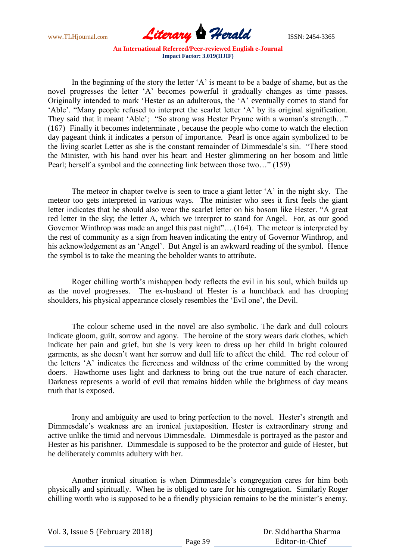

In the beginning of the story the letter 'A' is meant to be a badge of shame, but as the novel progresses the letter "A" becomes powerful it gradually changes as time passes. Originally intended to mark "Hester as an adulterous, the "A" eventually comes to stand for "Able". "Many people refused to interpret the scarlet letter "A" by its original signification. They said that it meant 'Able'; "So strong was Hester Prynne with a woman's strength..." (167) Finally it becomes indeterminate , because the people who come to watch the election day pageant think it indicates a person of importance. Pearl is once again symbolized to be the living scarlet Letter as she is the constant remainder of Dimmesdale"s sin. "There stood the Minister, with his hand over his heart and Hester glimmering on her bosom and little Pearl; herself a symbol and the connecting link between those two…" (159)

The meteor in chapter twelve is seen to trace a giant letter "A" in the night sky. The meteor too gets interpreted in various ways. The minister who sees it first feels the giant letter indicates that he should also wear the scarlet letter on his bosom like Hester. "A great red letter in the sky; the letter A, which we interpret to stand for Angel. For, as our good Governor Winthrop was made an angel this past night"....(164). The meteor is interpreted by the rest of community as a sign from heaven indicating the entry of Governor Winthrop, and his acknowledgement as an 'Angel'. But Angel is an awkward reading of the symbol. Hence the symbol is to take the meaning the beholder wants to attribute.

Roger chilling worth"s mishappen body reflects the evil in his soul, which builds up as the novel progresses. The ex-husband of Hester is a hunchback and has drooping shoulders, his physical appearance closely resembles the "Evil one", the Devil.

The colour scheme used in the novel are also symbolic. The dark and dull colours indicate gloom, guilt, sorrow and agony. The heroine of the story wears dark clothes, which indicate her pain and grief, but she is very keen to dress up her child in bright coloured garments, as she doesn"t want her sorrow and dull life to affect the child. The red colour of the letters "A" indicates the fierceness and wildness of the crime committed by the wrong doers. Hawthorne uses light and darkness to bring out the true nature of each character. Darkness represents a world of evil that remains hidden while the brightness of day means truth that is exposed.

Irony and ambiguity are used to bring perfection to the novel. Hester's strength and Dimmesdale"s weakness are an ironical juxtaposition. Hester is extraordinary strong and active unlike the timid and nervous Dimmesdale. Dimmesdale is portrayed as the pastor and Hester as his parishner. Dimmesdale is supposed to be the protector and guide of Hester, but he deliberately commits adultery with her.

Another ironical situation is when Dimmesdale"s congregation cares for him both physically and spiritually. When he is obliged to care for his congregation. Similarly Roger chilling worth who is supposed to be a friendly physician remains to be the minister's enemy.

 Dr. Siddhartha Sharma Editor-in-Chief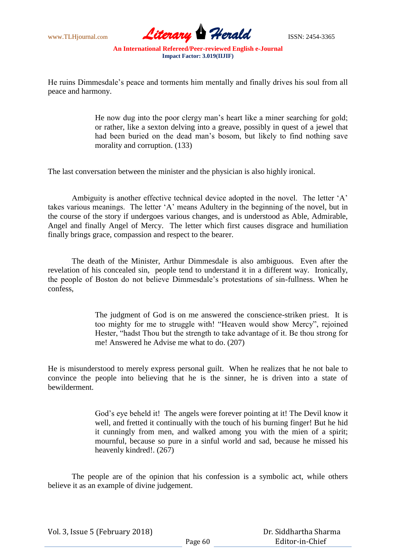

He ruins Dimmesdale"s peace and torments him mentally and finally drives his soul from all peace and harmony.

> He now dug into the poor clergy man"s heart like a miner searching for gold; or rather, like a sexton delving into a greave, possibly in quest of a jewel that had been buried on the dead man's bosom, but likely to find nothing save morality and corruption. (133)

The last conversation between the minister and the physician is also highly ironical.

Ambiguity is another effective technical device adopted in the novel. The letter "A" takes various meanings. The letter "A" means Adultery in the beginning of the novel, but in the course of the story if undergoes various changes, and is understood as Able, Admirable, Angel and finally Angel of Mercy. The letter which first causes disgrace and humiliation finally brings grace, compassion and respect to the bearer.

The death of the Minister, Arthur Dimmesdale is also ambiguous. Even after the revelation of his concealed sin, people tend to understand it in a different way. Ironically, the people of Boston do not believe Dimmesdale"s protestations of sin-fullness. When he confess,

> The judgment of God is on me answered the conscience-striken priest. It is too mighty for me to struggle with! "Heaven would show Mercy", rejoined Hester, "hadst Thou but the strength to take advantage of it. Be thou strong for me! Answered he Advise me what to do. (207)

He is misunderstood to merely express personal guilt. When he realizes that he not bale to convince the people into believing that he is the sinner, he is driven into a state of bewilderment.

> God"s eye beheld it! The angels were forever pointing at it! The Devil know it well, and fretted it continually with the touch of his burning finger! But he hid it cunningly from men, and walked among you with the mien of a spirit; mournful, because so pure in a sinful world and sad, because he missed his heavenly kindred!. (267)

The people are of the opinion that his confession is a symbolic act, while others believe it as an example of divine judgement.

Vol. 3, Issue 5 (February 2018)

 Dr. Siddhartha Sharma Editor-in-Chief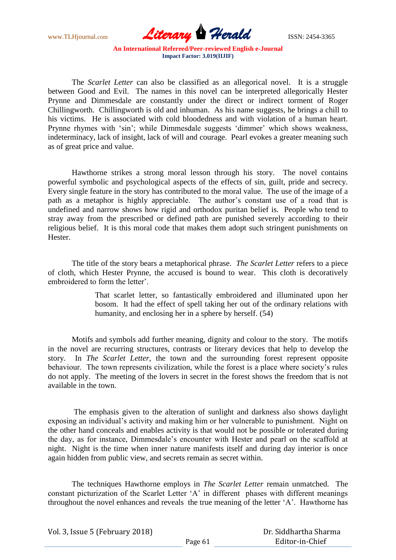

The *Scarlet Letter* can also be classified as an allegorical novel. It is a struggle between Good and Evil. The names in this novel can be interpreted allegorically Hester Prynne and Dimmesdale are constantly under the direct or indirect torment of Roger Chillingworth. Chillingworth is old and inhuman. As his name suggests, he brings a chill to his victims. He is associated with cold bloodedness and with violation of a human heart. Prynne rhymes with 'sin'; while Dimmesdale suggests 'dimmer' which shows weakness, indeterminacy, lack of insight, lack of will and courage. Pearl evokes a greater meaning such as of great price and value.

Hawthorne strikes a strong moral lesson through his story. The novel contains powerful symbolic and psychological aspects of the effects of sin, guilt, pride and secrecy. Every single feature in the story has contributed to the moral value. The use of the image of a path as a metaphor is highly appreciable. The author"s constant use of a road that is undefined and narrow shows how rigid and orthodox puritan belief is. People who tend to stray away from the prescribed or defined path are punished severely according to their religious belief. It is this moral code that makes them adopt such stringent punishments on Hester.

The title of the story bears a metaphorical phrase. *The Scarlet Letter* refers to a piece of cloth, which Hester Prynne, the accused is bound to wear. This cloth is decoratively embroidered to form the letter'

> That scarlet letter, so fantastically embroidered and illuminated upon her bosom. It had the effect of spell taking her out of the ordinary relations with humanity, and enclosing her in a sphere by herself. (54)

Motifs and symbols add further meaning, dignity and colour to the story. The motifs in the novel are recurring structures, contrasts or literary devices that help to develop the story. In *The Scarlet Letter*, the town and the surrounding forest represent opposite behaviour. The town represents civilization, while the forest is a place where society's rules do not apply. The meeting of the lovers in secret in the forest shows the freedom that is not available in the town.

The emphasis given to the alteration of sunlight and darkness also shows daylight exposing an individual's activity and making him or her vulnerable to punishment. Night on the other hand conceals and enables activity is that would not be possible or tolerated during the day, as for instance, Dimmesdale"s encounter with Hester and pearl on the scaffold at night. Night is the time when inner nature manifests itself and during day interior is once again hidden from public view, and secrets remain as secret within.

The techniques Hawthorne employs in *The Scarlet Letter* remain unmatched. The constant picturization of the Scarlet Letter 'A' in different phases with different meanings throughout the novel enhances and reveals the true meaning of the letter "A". Hawthorne has

 Dr. Siddhartha Sharma Editor-in-Chief